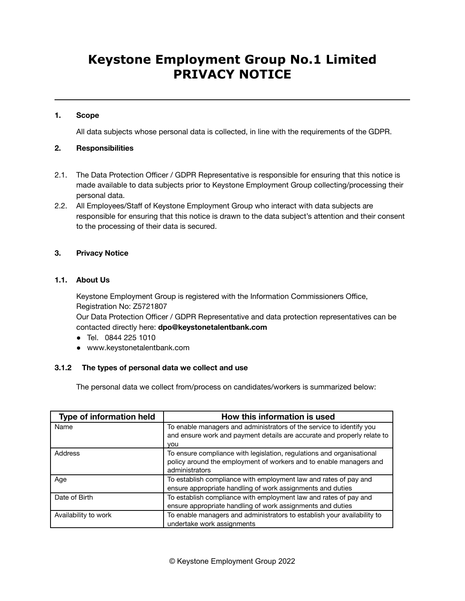## **1. Scope**

All data subjects whose personal data is collected, in line with the requirements of the GDPR.

## **2. Responsibilities**

- 2.1. The Data Protection Officer / GDPR Representative is responsible for ensuring that this notice is made available to data subjects prior to Keystone Employment Group collecting/processing their personal data.
- 2.2. All Employees/Staff of Keystone Employment Group who interact with data subjects are responsible for ensuring that this notice is drawn to the data subject's attention and their consent to the processing of their data is secured.

## **3. Privacy Notice**

## **1.1. About Us**

Keystone Employment Group is registered with the Information Commissioners Office, Registration No: Z5721807

Our Data Protection Officer / GDPR Representative and data protection representatives can be contacted directly here: **dpo@keystonetalentbank.com**

- Tel. 0844 225 1010
- www.keystonetalentbank.com

## **3.1.2 The types of personal data we collect and use**

The personal data we collect from/process on candidates/workers is summarized below:

| <b>Type of information held</b> | How this information is used                                            |
|---------------------------------|-------------------------------------------------------------------------|
| Name                            | To enable managers and administrators of the service to identify you    |
|                                 | and ensure work and payment details are accurate and properly relate to |
|                                 | <b>VOU</b>                                                              |
| Address                         | To ensure compliance with legislation, regulations and organisational   |
|                                 | policy around the employment of workers and to enable managers and      |
|                                 | administrators                                                          |
| Age                             | To establish compliance with employment law and rates of pay and        |
|                                 | ensure appropriate handling of work assignments and duties              |
| Date of Birth                   | To establish compliance with employment law and rates of pay and        |
|                                 | ensure appropriate handling of work assignments and duties              |
| Availability to work            | To enable managers and administrators to establish your availability to |
|                                 | undertake work assignments                                              |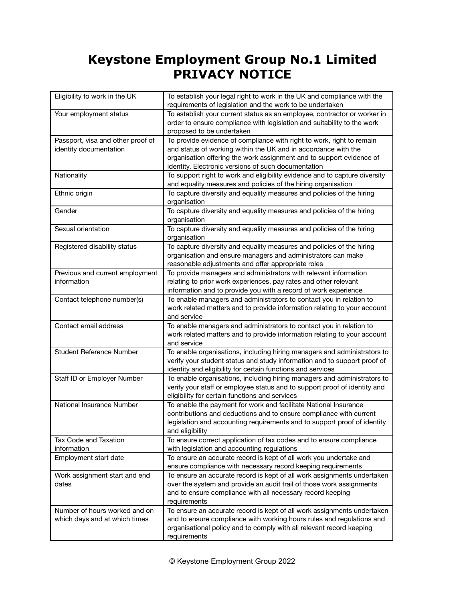| Eligibility to work in the UK                                  | To establish your legal right to work in the UK and compliance with the<br>requirements of legislation and the work to be undertaken                                                                                                                                   |
|----------------------------------------------------------------|------------------------------------------------------------------------------------------------------------------------------------------------------------------------------------------------------------------------------------------------------------------------|
| Your employment status                                         | To establish your current status as an employee, contractor or worker in<br>order to ensure compliance with legislation and suitability to the work<br>proposed to be undertaken                                                                                       |
| Passport, visa and other proof of<br>identity documentation    | To provide evidence of compliance with right to work, right to remain<br>and status of working within the UK and in accordance with the<br>organisation offering the work assignment and to support evidence of<br>identity. Electronic versions of such documentation |
| Nationality                                                    | To support right to work and eligibility evidence and to capture diversity<br>and equality measures and policies of the hiring organisation                                                                                                                            |
| Ethnic origin                                                  | To capture diversity and equality measures and policies of the hiring<br>organisation                                                                                                                                                                                  |
| Gender                                                         | To capture diversity and equality measures and policies of the hiring<br>organisation                                                                                                                                                                                  |
| Sexual orientation                                             | To capture diversity and equality measures and policies of the hiring<br>organisation                                                                                                                                                                                  |
| Registered disability status                                   | To capture diversity and equality measures and policies of the hiring<br>organisation and ensure managers and administrators can make<br>reasonable adjustments and offer appropriate roles                                                                            |
| Previous and current employment<br>information                 | To provide managers and administrators with relevant information<br>relating to prior work experiences, pay rates and other relevant<br>information and to provide you with a record of work experience                                                                |
| Contact telephone number(s)                                    | To enable managers and administrators to contact you in relation to<br>work related matters and to provide information relating to your account<br>and service                                                                                                         |
| Contact email address                                          | To enable managers and administrators to contact you in relation to<br>work related matters and to provide information relating to your account<br>and service                                                                                                         |
| <b>Student Reference Number</b>                                | To enable organisations, including hiring managers and administrators to<br>verify your student status and study information and to support proof of<br>identity and eligibility for certain functions and services                                                    |
| Staff ID or Employer Number                                    | To enable organisations, including hiring managers and administrators to<br>verify your staff or employee status and to support proof of identity and<br>eligibility for certain functions and services                                                                |
| National Insurance Number                                      | To enable the payment for work and facilitate National Insurance<br>contributions and deductions and to ensure compliance with current<br>legislation and accounting requirements and to support proof of identity<br>and eligibility                                  |
| <b>Tax Code and Taxation</b><br>information                    | To ensure correct application of tax codes and to ensure compliance<br>with legislation and accounting regulations                                                                                                                                                     |
| Employment start date                                          | To ensure an accurate record is kept of all work you undertake and<br>ensure compliance with necessary record keeping requirements                                                                                                                                     |
| Work assignment start and end<br>dates                         | To ensure an accurate record is kept of all work assignments undertaken<br>over the system and provide an audit trail of those work assignments<br>and to ensure compliance with all necessary record keeping<br>requirements                                          |
| Number of hours worked and on<br>which days and at which times | To ensure an accurate record is kept of all work assignments undertaken<br>and to ensure compliance with working hours rules and regulations and<br>organisational policy and to comply with all relevant record keeping<br>requirements                               |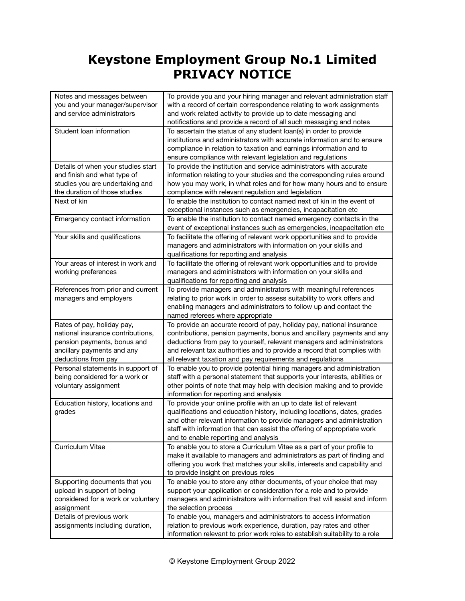| Notes and messages between<br>you and your manager/supervisor<br>and service administrators                                                         | To provide you and your hiring manager and relevant administration staff<br>with a record of certain correspondence relating to work assignments<br>and work related activity to provide up to date messaging and<br>notifications and provide a record of all such messaging and notes                                                                          |
|-----------------------------------------------------------------------------------------------------------------------------------------------------|------------------------------------------------------------------------------------------------------------------------------------------------------------------------------------------------------------------------------------------------------------------------------------------------------------------------------------------------------------------|
| Student loan information                                                                                                                            | To ascertain the status of any student loan(s) in order to provide<br>institutions and administrators with accurate information and to ensure<br>compliance in relation to taxation and earnings information and to<br>ensure compliance with relevant legislation and regulations                                                                               |
| Details of when your studies start<br>and finish and what type of<br>studies you are undertaking and<br>the duration of those studies               | To provide the institution and service administrators with accurate<br>information relating to your studies and the corresponding rules around<br>how you may work, in what roles and for how many hours and to ensure<br>compliance with relevant regulation and legislation                                                                                    |
| Next of kin                                                                                                                                         | To enable the institution to contact named next of kin in the event of<br>exceptional instances such as emergencies, incapacitation etc                                                                                                                                                                                                                          |
| Emergency contact information                                                                                                                       | To enable the institution to contact named emergency contacts in the<br>event of exceptional instances such as emergencies, incapacitation etc                                                                                                                                                                                                                   |
| Your skills and qualifications                                                                                                                      | To facilitate the offering of relevant work opportunities and to provide<br>managers and administrators with information on your skills and<br>qualifications for reporting and analysis                                                                                                                                                                         |
| Your areas of interest in work and<br>working preferences                                                                                           | To facilitate the offering of relevant work opportunities and to provide<br>managers and administrators with information on your skills and<br>qualifications for reporting and analysis                                                                                                                                                                         |
| References from prior and current<br>managers and employers                                                                                         | To provide managers and administrators with meaningful references<br>relating to prior work in order to assess suitability to work offers and<br>enabling managers and administrators to follow up and contact the<br>named referees where appropriate                                                                                                           |
| Rates of pay, holiday pay,<br>national insurance contributions,<br>pension payments, bonus and<br>ancillary payments and any<br>deductions from pay | To provide an accurate record of pay, holiday pay, national insurance<br>contributions, pension payments, bonus and ancillary payments and any<br>deductions from pay to yourself, relevant managers and administrators<br>and relevant tax authorities and to provide a record that complies with<br>all relevant taxation and pay requirements and regulations |
| Personal statements in support of<br>being considered for a work or<br>voluntary assignment                                                         | To enable you to provide potential hiring managers and administration<br>staff with a personal statement that supports your interests, abilities or<br>other points of note that may help with decision making and to provide<br>information for reporting and analysis                                                                                          |
| Education history, locations and<br>grades                                                                                                          | To provide your online profile with an up to date list of relevant<br>qualifications and education history, including locations, dates, grades<br>and other relevant information to provide managers and administration<br>staff with information that can assist the offering of appropriate work<br>and to enable reporting and analysis                       |
| Curriculum Vitae                                                                                                                                    | To enable you to store a Curriculum Vitae as a part of your profile to<br>make it available to managers and administrators as part of finding and<br>offering you work that matches your skills, interests and capability and<br>to provide insight on previous roles                                                                                            |
| Supporting documents that you<br>upload in support of being<br>considered for a work or voluntary<br>assignment                                     | To enable you to store any other documents, of your choice that may<br>support your application or consideration for a role and to provide<br>managers and administrators with information that will assist and inform<br>the selection process                                                                                                                  |
| Details of previous work<br>assignments including duration,                                                                                         | To enable you, managers and administrators to access information<br>relation to previous work experience, duration, pay rates and other<br>information relevant to prior work roles to establish suitability to a role                                                                                                                                           |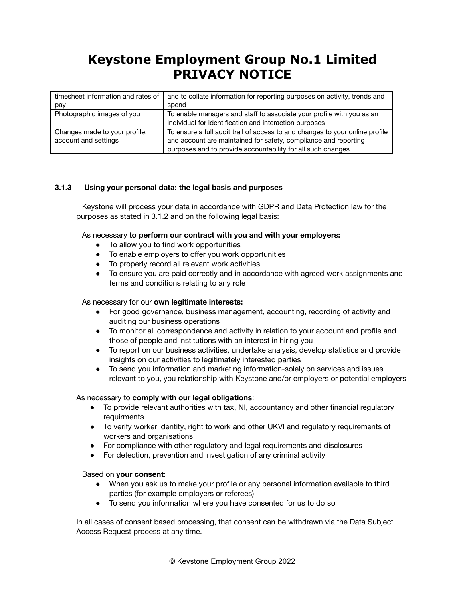| timesheet information and rates of | and to collate information for reporting purposes on activity, trends and    |
|------------------------------------|------------------------------------------------------------------------------|
| pay                                | spend                                                                        |
| Photographic images of you         | To enable managers and staff to associate your profile with you as an        |
|                                    | individual for identification and interaction purposes                       |
| Changes made to your profile,      | To ensure a full audit trail of access to and changes to your online profile |
| account and settings               | and account are maintained for safety, compliance and reporting              |
|                                    | purposes and to provide accountability for all such changes                  |

## **3.1.3 Using your personal data: the legal basis and purposes**

Keystone will process your data in accordance with GDPR and Data Protection law for the purposes as stated in 3.1.2 and on the following legal basis:

As necessary **to perform our contract with you and with your employers:**

- To allow you to find work opportunities
- To enable employers to offer you work opportunities
- To properly record all relevant work activities
- To ensure you are paid correctly and in accordance with agreed work assignments and terms and conditions relating to any role

#### As necessary for our **own legitimate interests:**

- For good governance, business management, accounting, recording of activity and auditing our business operations
- To monitor all correspondence and activity in relation to your account and profile and those of people and institutions with an interest in hiring you
- To report on our business activities, undertake analysis, develop statistics and provide insights on our activities to legitimately interested parties
- To send you information and marketing information-solely on services and issues relevant to you, you relationship with Keystone and/or employers or potential employers

#### As necessary to **comply with our legal obligations**:

- To provide relevant authorities with tax, NI, accountancy and other financial regulatory requirments
- To verify worker identity, right to work and other UKVI and regulatory requirements of workers and organisations
- For compliance with other regulatory and legal requirements and disclosures
- For detection, prevention and investigation of any criminal activity

Based on **your consent**:

- When you ask us to make your profile or any personal information available to third parties (for example employers or referees)
- To send you information where you have consented for us to do so

In all cases of consent based processing, that consent can be withdrawn via the Data Subject Access Request process at any time.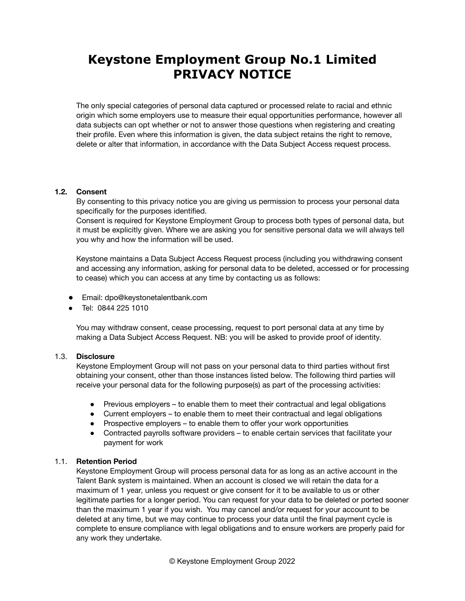The only special categories of personal data captured or processed relate to racial and ethnic origin which some employers use to measure their equal opportunities performance, however all data subjects can opt whether or not to answer those questions when registering and creating their profile. Even where this information is given, the data subject retains the right to remove, delete or alter that information, in accordance with the Data Subject Access request process.

#### **1.2. Consent**

By consenting to this privacy notice you are giving us permission to process your personal data specifically for the purposes identified.

Consent is required for Keystone Employment Group to process both types of personal data, but it must be explicitly given. Where we are asking you for sensitive personal data we will always tell you why and how the information will be used.

Keystone maintains a Data Subject Access Request process (including you withdrawing consent and accessing any information, asking for personal data to be deleted, accessed or for processing to cease) which you can access at any time by contacting us as follows:

- Email: dpo@keystonetalentbank.com
- Tel: 0844 225 1010

You may withdraw consent, cease processing, request to port personal data at any time by making a Data Subject Access Request. NB: you will be asked to provide proof of identity.

## 1.3. **Disclosure**

Keystone Employment Group will not pass on your personal data to third parties without first obtaining your consent, other than those instances listed below. The following third parties will receive your personal data for the following purpose(s) as part of the processing activities:

- Previous employers to enable them to meet their contractual and legal obligations
- Current employers to enable them to meet their contractual and legal obligations
- Prospective employers to enable them to offer your work opportunities
- Contracted payrolls software providers to enable certain services that facilitate your payment for work

## 1.1. **Retention Period**

Keystone Employment Group will process personal data for as long as an active account in the Talent Bank system is maintained. When an account is closed we will retain the data for a maximum of 1 year, unless you request or give consent for it to be available to us or other legitimate parties for a longer period. You can request for your data to be deleted or ported sooner than the maximum 1 year if you wish. You may cancel and/or request for your account to be deleted at any time, but we may continue to process your data until the final payment cycle is complete to ensure compliance with legal obligations and to ensure workers are properly paid for any work they undertake.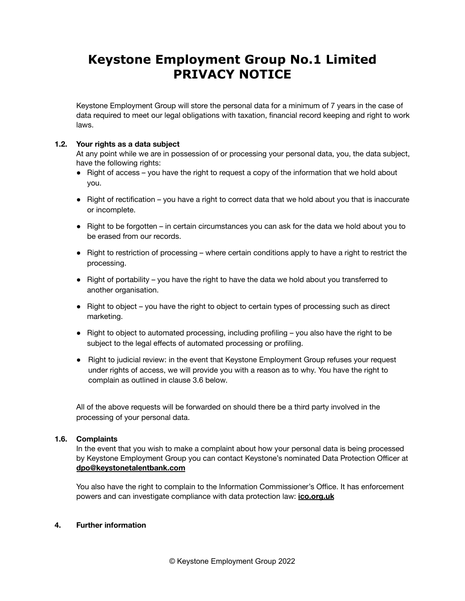Keystone Employment Group will store the personal data for a minimum of 7 years in the case of data required to meet our legal obligations with taxation, financial record keeping and right to work laws.

## **1.2. Your rights as a data subject**

At any point while we are in possession of or processing your personal data, you, the data subject, have the following rights:

- Right of access you have the right to request a copy of the information that we hold about you.
- Right of rectification you have a right to correct data that we hold about you that is inaccurate or incomplete.
- Right to be forgotten in certain circumstances you can ask for the data we hold about you to be erased from our records.
- Right to restriction of processing where certain conditions apply to have a right to restrict the processing.
- Right of portability you have the right to have the data we hold about you transferred to another organisation.
- Right to object you have the right to object to certain types of processing such as direct marketing.
- Right to object to automated processing, including profiling you also have the right to be subject to the legal effects of automated processing or profiling.
- Right to judicial review: in the event that Keystone Employment Group refuses your request under rights of access, we will provide you with a reason as to why. You have the right to complain as outlined in clause 3.6 below.

All of the above requests will be forwarded on should there be a third party involved in the processing of your personal data.

#### **1.6. Complaints**

In the event that you wish to make a complaint about how your personal data is being processed by Keystone Employment Group you can contact Keystone's nominated Data Protection Officer at **[dpo@keystonetalentbank.com](mailto:dpo@keystonetalentbank.com)**

You also have the right to complain to the Information Commissioner's Office. It has enforcement powers and can investigate compliance with data protection law: **[ico.org.uk](http://www.ico.org.uk/)**

#### **4. Further information**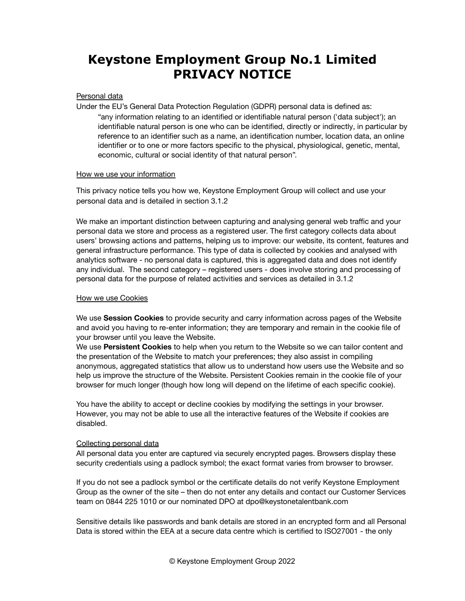#### Personal data

Under the EU's General Data Protection Regulation (GDPR) personal data is defined as: "any information relating to an identified or identifiable natural person ('data subject'); an identifiable natural person is one who can be identified, directly or indirectly, in particular by reference to an identifier such as a name, an identification number, location data, an online identifier or to one or more factors specific to the physical, physiological, genetic, mental, economic, cultural or social identity of that natural person".

#### How we use your information

This privacy notice tells you how we, Keystone Employment Group will collect and use your personal data and is detailed in section 3.1.2

We make an important distinction between capturing and analysing general web traffic and your personal data we store and process as a registered user. The first category collects data about users' browsing actions and patterns, helping us to improve: our website, its content, features and general infrastructure performance. This type of data is collected by cookies and analysed with analytics software - no personal data is captured, this is aggregated data and does not identify any individual. The second category – registered users - does involve storing and processing of personal data for the purpose of related activities and services as detailed in 3.1.2

#### How we use Cookies

We use **Session Cookies** to provide security and carry information across pages of the Website and avoid you having to re-enter information; they are temporary and remain in the cookie file of your browser until you leave the Website.

We use **Persistent Cookies** to help when you return to the Website so we can tailor content and the presentation of the Website to match your preferences; they also assist in compiling anonymous, aggregated statistics that allow us to understand how users use the Website and so help us improve the structure of the Website. Persistent Cookies remain in the cookie file of your browser for much longer (though how long will depend on the lifetime of each specific cookie).

You have the ability to accept or decline cookies by modifying the settings in your browser. However, you may not be able to use all the interactive features of the Website if cookies are disabled.

#### Collecting personal data

All personal data you enter are captured via securely encrypted pages. Browsers display these security credentials using a padlock symbol; the exact format varies from browser to browser.

If you do not see a padlock symbol or the certificate details do not verify Keystone Employment Group as the owner of the site – then do not enter any details and contact our Customer Services team on 0844 225 1010 or our nominated DPO at dpo@keystonetalentbank.com

Sensitive details like passwords and bank details are stored in an encrypted form and all Personal Data is stored within the EEA at a secure data centre which is certified to ISO27001 - the only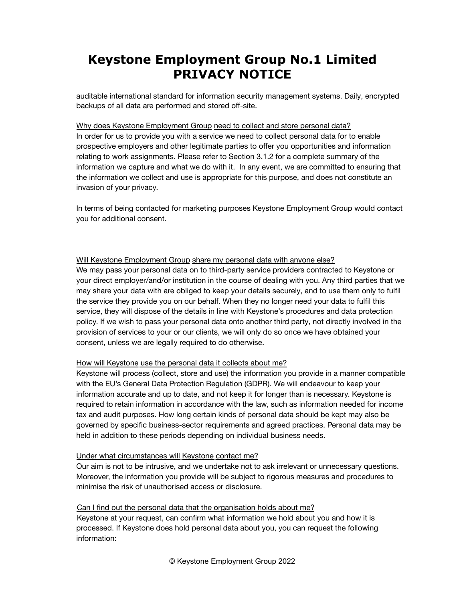auditable international standard for information security management systems. Daily, encrypted backups of all data are performed and stored off-site.

### Why does Keystone Employment Group need to collect and store personal data?

In order for us to provide you with a service we need to collect personal data for to enable prospective employers and other legitimate parties to offer you opportunities and information relating to work assignments. Please refer to Section 3.1.2 for a complete summary of the information we capture and what we do with it. In any event, we are committed to ensuring that the information we collect and use is appropriate for this purpose, and does not constitute an invasion of your privacy.

In terms of being contacted for marketing purposes Keystone Employment Group would contact you for additional consent.

## Will Keystone Employment Group share my personal data with anyone else?

We may pass your personal data on to third-party service providers contracted to Keystone or your direct employer/and/or institution in the course of dealing with you. Any third parties that we may share your data with are obliged to keep your details securely, and to use them only to fulfil the service they provide you on our behalf. When they no longer need your data to fulfil this service, they will dispose of the details in line with Keystone's procedures and data protection policy. If we wish to pass your personal data onto another third party, not directly involved in the provision of services to your or our clients, we will only do so once we have obtained your consent, unless we are legally required to do otherwise.

## How will Keystone use the personal data it collects about me?

Keystone will process (collect, store and use) the information you provide in a manner compatible with the EU's General Data Protection Regulation (GDPR). We will endeavour to keep your information accurate and up to date, and not keep it for longer than is necessary. Keystone is required to retain information in accordance with the law, such as information needed for income tax and audit purposes. How long certain kinds of personal data should be kept may also be governed by specific business-sector requirements and agreed practices. Personal data may be held in addition to these periods depending on individual business needs.

#### Under what circumstances will Keystone contact me?

Our aim is not to be intrusive, and we undertake not to ask irrelevant or unnecessary questions. Moreover, the information you provide will be subject to rigorous measures and procedures to minimise the risk of unauthorised access or disclosure.

## Can I find out the personal data that the organisation holds about me?

Keystone at your request, can confirm what information we hold about you and how it is processed. If Keystone does hold personal data about you, you can request the following information: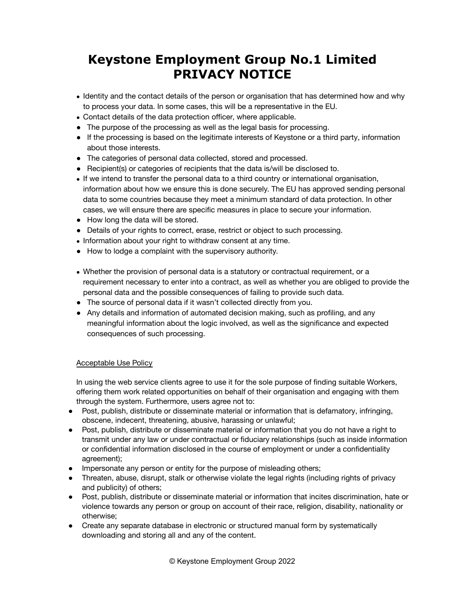- Identity and the contact details of the person or organisation that has determined how and why to process your data. In some cases, this will be a representative in the EU.
- Contact details of the data protection officer, where applicable.
- The purpose of the processing as well as the legal basis for processing.
- If the processing is based on the legitimate interests of Keystone or a third party, information about those interests.
- The categories of personal data collected, stored and processed.
- Recipient(s) or categories of recipients that the data is/will be disclosed to.
- If we intend to transfer the personal data to a third country or international organisation, information about how we ensure this is done securely. The EU has approved sending personal data to some countries because they meet a minimum standard of data protection. In other cases, we will ensure there are specific measures in place to secure your information.
- How long the data will be stored.
- Details of your rights to correct, erase, restrict or object to such processing.
- Information about your right to withdraw consent at any time.
- How to lodge a complaint with the supervisory authority.
- Whether the provision of personal data is a statutory or contractual requirement, or a requirement necessary to enter into a contract, as well as whether you are obliged to provide the personal data and the possible consequences of failing to provide such data.
- The source of personal data if it wasn't collected directly from you.
- Any details and information of automated decision making, such as profiling, and any meaningful information about the logic involved, as well as the significance and expected consequences of such processing.

## Acceptable Use Policy

In using the web service clients agree to use it for the sole purpose of finding suitable Workers, offering them work related opportunities on behalf of their organisation and engaging with them through the system. Furthermore, users agree not to:

- Post, publish, distribute or disseminate material or information that is defamatory, infringing, obscene, indecent, threatening, abusive, harassing or unlawful;
- Post, publish, distribute or disseminate material or information that you do not have a right to transmit under any law or under contractual or fiduciary relationships (such as inside information or confidential information disclosed in the course of employment or under a confidentiality agreement);
- Impersonate any person or entity for the purpose of misleading others;
- Threaten, abuse, disrupt, stalk or otherwise violate the legal rights (including rights of privacy and publicity) of others;
- Post, publish, distribute or disseminate material or information that incites discrimination, hate or violence towards any person or group on account of their race, religion, disability, nationality or otherwise;
- Create any separate database in electronic or structured manual form by systematically downloading and storing all and any of the content.